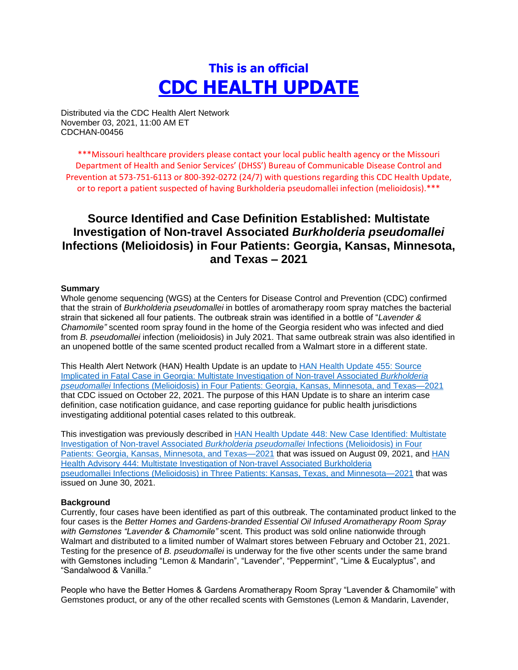# **This is an official CDC HEALTH UPDATE**

Distributed via the CDC Health Alert Network November 03, 2021, 11:00 AM ET CDCHAN-00456

\*\*\*Missouri healthcare providers please contact your local public health agency or the Missouri Department of Health and Senior Services' (DHSS') Bureau of Communicable Disease Control and Prevention at 573-751-6113 or 800-392-0272 (24/7) with questions regarding this CDC Health Update, or to report a patient suspected of having Burkholderia pseudomallei infection (melioidosis).\*\*\*

# **Source Identified and Case Definition Established: Multistate Investigation of Non-travel Associated** *Burkholderia pseudomallei* **Infections (Melioidosis) in Four Patients: Georgia, Kansas, Minnesota, and Texas – 2021**

#### **Summary**

Whole genome sequencing (WGS) at the Centers for Disease Control and Prevention (CDC) confirmed that the strain of *Burkholderia pseudomallei* in bottles of aromatherapy room spray matches the bacterial strain that sickened all four patients. The outbreak strain was identified in a bottle of "*Lavender & Chamomile"* scented room spray found in the home of the Georgia resident who was infected and died from *B. pseudomallei* infection (melioidosis) in July 2021. That same outbreak strain was also identified in an unopened bottle of the same scented product recalled from a Walmart store in a different state.

This Health Alert Network (HAN) Health Update is an update to [HAN Health Update 455: Source](https://urldefense.com/v3/__https:/emergency.cdc.gov/han/2021/han00455.asp__;!!EErPFA7f--AJOw!UI0uEo9SXYMEOAmW9FXxJW5FVS6rX0XPAqFHl1KULEhu4Nk2wwyYJGWf263Obg$)  [Implicated in Fatal Case in Georgia: Multistate Investigation of Non-travel Associated](https://urldefense.com/v3/__https:/emergency.cdc.gov/han/2021/han00455.asp__;!!EErPFA7f--AJOw!UI0uEo9SXYMEOAmW9FXxJW5FVS6rX0XPAqFHl1KULEhu4Nk2wwyYJGWf263Obg$) *Burkholderia pseudomallei* [Infections \(Melioidosis\) in Four Patients: Georgia, Kansas, Minnesota, and Texas—2021](https://urldefense.com/v3/__https:/emergency.cdc.gov/han/2021/han00455.asp__;!!EErPFA7f--AJOw!UI0uEo9SXYMEOAmW9FXxJW5FVS6rX0XPAqFHl1KULEhu4Nk2wwyYJGWf263Obg$) that CDC issued on October 22, 2021. The purpose of this HAN Update is to share an interim case definition, case notification guidance, and case reporting guidance for public health jurisdictions investigating additional potential cases related to this outbreak.

This investigation was previously described in [HAN Health Update 448: New Case Identified: Multistate](https://urldefense.com/v3/__https:/emergency.cdc.gov/han/2021/han00448.asp__;!!EErPFA7f--AJOw!UI0uEo9SXYMEOAmW9FXxJW5FVS6rX0XPAqFHl1KULEhu4Nk2wwyYJGXwsTqRmA$)  [Investigation of Non-travel Associated](https://urldefense.com/v3/__https:/emergency.cdc.gov/han/2021/han00448.asp__;!!EErPFA7f--AJOw!UI0uEo9SXYMEOAmW9FXxJW5FVS6rX0XPAqFHl1KULEhu4Nk2wwyYJGXwsTqRmA$) *Burkholderia pseudomallei* Infections (Melioidosis) in Four [Patients: Georgia, Kansas, Minnesota, and Texas—2021](https://urldefense.com/v3/__https:/emergency.cdc.gov/han/2021/han00448.asp__;!!EErPFA7f--AJOw!UI0uEo9SXYMEOAmW9FXxJW5FVS6rX0XPAqFHl1KULEhu4Nk2wwyYJGXwsTqRmA$) that was issued on August 09, 2021, and [HAN](https://urldefense.com/v3/__https:/emergency.cdc.gov/han/2021/han00444.asp__;!!EErPFA7f--AJOw!UI0uEo9SXYMEOAmW9FXxJW5FVS6rX0XPAqFHl1KULEhu4Nk2wwyYJGXlbsViFw$)  [Health Advisory 444: Multistate Investigation of Non-travel Associated](https://urldefense.com/v3/__https:/emergency.cdc.gov/han/2021/han00444.asp__;!!EErPFA7f--AJOw!UI0uEo9SXYMEOAmW9FXxJW5FVS6rX0XPAqFHl1KULEhu4Nk2wwyYJGXlbsViFw$) Burkholderia pseudomallei [Infections \(Melioidosis\) in Three Patients: Kansas, Texas, and Minnesota—2021](https://urldefense.com/v3/__https:/emergency.cdc.gov/han/2021/han00444.asp__;!!EErPFA7f--AJOw!UI0uEo9SXYMEOAmW9FXxJW5FVS6rX0XPAqFHl1KULEhu4Nk2wwyYJGXlbsViFw$) that was issued on June 30, 2021.

#### **Background**

Currently, four cases have been identified as part of this outbreak. The contaminated product linked to the four cases is the *Better Homes and Gardens-branded Essential Oil Infused Aromatherapy Room Spray with Gemstones "Lavender & Chamomile"* scent. This product was sold online nationwide through Walmart and distributed to a limited number of Walmart stores between February and October 21, 2021. Testing for the presence of *B. pseudomallei* is underway for the five other scents under the same brand with Gemstones including "Lemon & Mandarin", "Lavender", "Peppermint", "Lime & Eucalyptus", and "Sandalwood & Vanilla."

People who have the Better Homes & Gardens Aromatherapy Room Spray "Lavender & Chamomile" with Gemstones product, or any of the other recalled scents with Gemstones (Lemon & Mandarin, Lavender,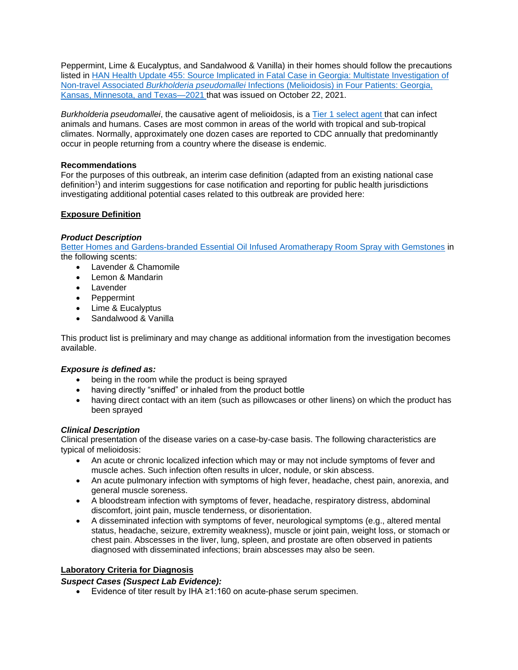Peppermint, Lime & Eucalyptus, and Sandalwood & Vanilla) in their homes should follow the precautions listed in [HAN Health Update 455: Source Implicated in Fatal Case in Georgia: Multistate Investigation of](https://urldefense.com/v3/__https:/emergency.cdc.gov/han/2021/han00455.asp__;!!EErPFA7f--AJOw!UI0uEo9SXYMEOAmW9FXxJW5FVS6rX0XPAqFHl1KULEhu4Nk2wwyYJGWf263Obg$)  Non-travel Associated *Burkholderia pseudomallei* [Infections \(Melioidosis\) in Four Patients: Georgia,](https://urldefense.com/v3/__https:/emergency.cdc.gov/han/2021/han00455.asp__;!!EErPFA7f--AJOw!UI0uEo9SXYMEOAmW9FXxJW5FVS6rX0XPAqFHl1KULEhu4Nk2wwyYJGWf263Obg$)  [Kansas, Minnesota, and Texas—2021](https://urldefense.com/v3/__https:/emergency.cdc.gov/han/2021/han00455.asp__;!!EErPFA7f--AJOw!UI0uEo9SXYMEOAmW9FXxJW5FVS6rX0XPAqFHl1KULEhu4Nk2wwyYJGWf263Obg$) that was issued on October 22, 2021.

*Burkholderia pseudomallei*, the causative agent of melioidosis, is a [Tier 1 select agent](https://urldefense.com/v3/__https:/www.selectagents.gov/compliance/guidance/security-plan/section11f.htm__;!!EErPFA7f--AJOw!UI0uEo9SXYMEOAmW9FXxJW5FVS6rX0XPAqFHl1KULEhu4Nk2wwyYJGUuvh85Uw$) that can infect animals and humans. Cases are most common in areas of the world with tropical and sub-tropical climates. Normally, approximately one dozen cases are reported to CDC annually that predominantly occur in people returning from a country where the disease is endemic.

### **Recommendations**

For the purposes of this outbreak, an interim case definition (adapted from an existing national case definition<sup>1</sup>) and interim suggestions for case notification and reporting for public health jurisdictions investigating additional potential cases related to this outbreak are provided here:

# **Exposure Definition**

#### *Product Description*

[Better Homes and Gardens-branded Essential Oil Infused Aromatherapy Room Spray with Gemstones](https://urldefense.com/v3/__https:/www.cpsc.gov/Recalls/2022/Walmart-Recalls-Better-Homes-and-Gardens-Essential-Oil-Infused-Aromatherapy-Room-Spray-with-Gemstones-Due-to-Rare-and-Dangerous-Bacteria-Two-Deaths-Investigated__;!!EErPFA7f--AJOw!UI0uEo9SXYMEOAmW9FXxJW5FVS6rX0XPAqFHl1KULEhu4Nk2wwyYJGUnpApfcQ$) in the following scents:

- Lavender & Chamomile
- Lemon & Mandarin
- Lavender
- Peppermint
- Lime & Eucalyptus
- Sandalwood & Vanilla

This product list is preliminary and may change as additional information from the investigation becomes available.

# *Exposure is defined as:*

- being in the room while the product is being sprayed
- having directly "sniffed" or inhaled from the product bottle
- having direct contact with an item (such as pillowcases or other linens) on which the product has been sprayed

# *Clinical Description*

Clinical presentation of the disease varies on a case-by-case basis. The following characteristics are typical of melioidosis:

- An acute or chronic localized infection which may or may not include symptoms of fever and muscle aches. Such infection often results in ulcer, nodule, or skin abscess.
- An acute pulmonary infection with symptoms of high fever, headache, chest pain, anorexia, and general muscle soreness.
- A bloodstream infection with symptoms of fever, headache, respiratory distress, abdominal discomfort, joint pain, muscle tenderness, or disorientation.
- A disseminated infection with symptoms of fever, neurological symptoms (e.g., altered mental status, headache, seizure, extremity weakness), muscle or joint pain, weight loss, or stomach or chest pain. Abscesses in the liver, lung, spleen, and prostate are often observed in patients diagnosed with disseminated infections; brain abscesses may also be seen.

# **Laboratory Criteria for Diagnosis**

# *Suspect Cases (Suspect Lab Evidence):*

Evidence of titer result by IHA ≥1:160 on acute-phase serum specimen.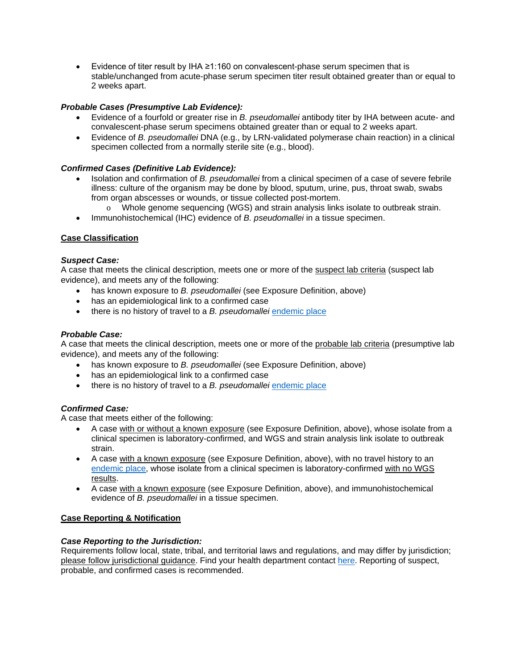Evidence of titer result by IHA ≥1:160 on convalescent-phase serum specimen that is stable/unchanged from acute-phase serum specimen titer result obtained greater than or equal to 2 weeks apart.

# *Probable Cases (Presumptive Lab Evidence):*

- Evidence of a fourfold or greater rise in *B. pseudomallei* antibody titer by IHA between acute- and convalescent-phase serum specimens obtained greater than or equal to 2 weeks apart.
- Evidence of *B. pseudomallei* DNA (e.g., by LRN-validated polymerase chain reaction) in a clinical specimen collected from a normally sterile site (e.g., blood).

# *Confirmed Cases (Definitive Lab Evidence):*

- Isolation and confirmation of *B. pseudomallei* from a clinical specimen of a case of severe febrile illness: culture of the organism may be done by blood, sputum, urine, pus, throat swab, swabs from organ abscesses or wounds, or tissue collected post-mortem.
	- o Whole genome sequencing (WGS) and strain analysis links isolate to outbreak strain.
- Immunohistochemical (IHC) evidence of *B. pseudomallei* in a tissue specimen.

#### **Case Classification**

#### *Suspect Case:*

A case that meets the clinical description, meets one or more of the suspect lab criteria (suspect lab evidence), and meets any of the following:

- has known exposure to *B. pseudomallei* (see Exposure Definition, above)
- has an epidemiological link to a confirmed case
- there is no history of travel to a *B. pseudomallei* [endemic place](https://urldefense.com/v3/__https:/www.cdc.gov/melioidosis/exposure/index.html__;!!EErPFA7f--AJOw!UI0uEo9SXYMEOAmW9FXxJW5FVS6rX0XPAqFHl1KULEhu4Nk2wwyYJGWbFH-Phw$)

#### *Probable Case:*

A case that meets the clinical description, meets one or more of the probable lab criteria (presumptive lab evidence), and meets any of the following:

- has known exposure to *B. pseudomallei* (see Exposure Definition, above)
- has an epidemiological link to a confirmed case
- there is no history of travel to a *B. pseudomallei* [endemic place](https://urldefense.com/v3/__https:/www.cdc.gov/melioidosis/exposure/index.html__;!!EErPFA7f--AJOw!UI0uEo9SXYMEOAmW9FXxJW5FVS6rX0XPAqFHl1KULEhu4Nk2wwyYJGWbFH-Phw$)

#### *Confirmed Case:*

A case that meets either of the following:

- A case with or without a known exposure (see Exposure Definition, above), whose isolate from a clinical specimen is laboratory-confirmed, and WGS and strain analysis link isolate to outbreak strain.
- A case with a known exposure (see Exposure Definition, above), with no travel history to an [endemic place,](https://urldefense.com/v3/__https:/www.cdc.gov/melioidosis/exposure/index.html__;!!EErPFA7f--AJOw!UI0uEo9SXYMEOAmW9FXxJW5FVS6rX0XPAqFHl1KULEhu4Nk2wwyYJGWbFH-Phw$) whose isolate from a clinical specimen is laboratory-confirmed with no WGS results.
- A case with a known exposure (see Exposure Definition, above), and immunohistochemical evidence of *B. pseudomallei* in a tissue specimen.

#### **Case Reporting & Notification**

#### *Case Reporting to the Jurisdiction:*

Requirements follow local, state, tribal, and territorial laws and regulations, and may differ by jurisdiction; please follow jurisdictional guidance. Find your health department contact [here.](https://urldefense.com/v3/__https:/www.cdc.gov/publichealthgateway/healthdirectories/index.html__;!!EErPFA7f--AJOw!UI0uEo9SXYMEOAmW9FXxJW5FVS6rX0XPAqFHl1KULEhu4Nk2wwyYJGVrl3_D_g$) Reporting of suspect, probable, and confirmed cases is recommended.